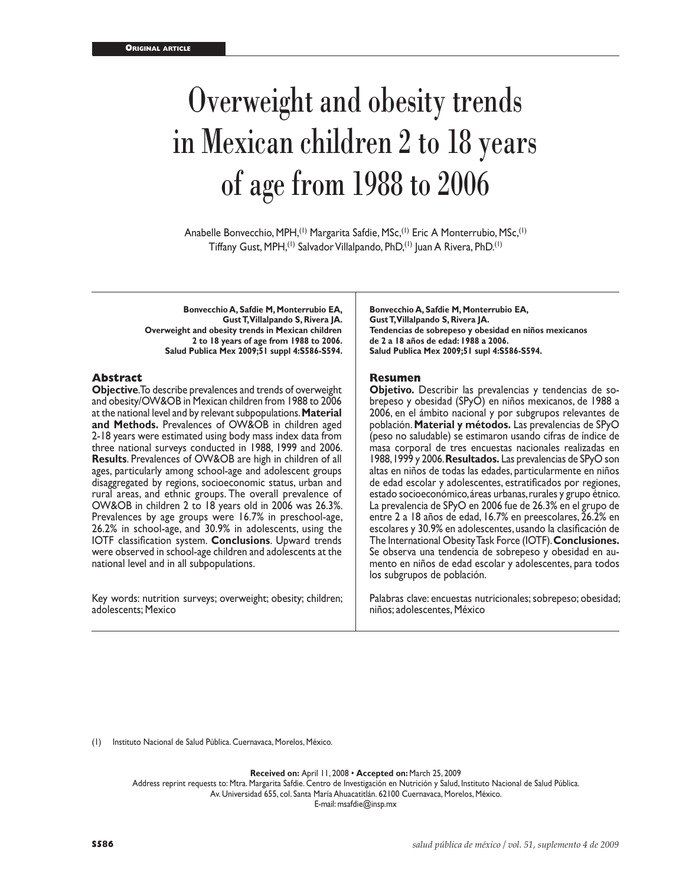# Overweight and obesity trends in Mexican children 2 to 18 years of age from 1988 to 2006

Anabelle Bonvecchio, MPH,<sup>(1)</sup> Margarita Safdie, MSc,<sup>(1)</sup> Eric A Monterrubio, MSc,<sup>(1)</sup> Tiffany Gust, MPH,<sup>(1)</sup> Salvador Villalpando, PhD,<sup>(1)</sup> Juan A Rivera, PhD.<sup>(1)</sup>

**Bonvecchio A, Safdie M, Monterrubio EA, Gust T, Villalpando S, Rivera JA. Overweight and obesity trends in Mexican children 2 to 18 years of age from 1988 to 2006. Salud Publica Mex 2009;51 suppl 4:S586-S594.**

#### **Abstract**

**Objective**. To describe prevalences and trends of overweight and obesity/OW&OB in Mexican children from 1988 to 2006 at the national level and by relevant subpopulations. **Material and Methods.** Prevalences of OW&OB in children aged 2-18 years were estimated using body mass index data from three national surveys conducted in 1988, 1999 and 2006. **Results**. Prevalences of OW&OB are high in children of all ages, particularly among school-age and adolescent groups disaggregated by regions, socioeconomic status, urban and rural areas, and ethnic groups. The overall prevalence of OW&OB in children 2 to 18 years old in 2006 was 26.3%. Prevalences by age groups were 16.7% in preschool-age, 26.2% in school-age, and 30.9% in adolescents, using the IOTF classification system. **Conclusions**. Upward trends were observed in school-age children and adolescents at the national level and in all subpopulations.

Key words: nutrition surveys; overweight; obesity; children; adolescents; Mexico

**Bonvecchio A, Safdie M, Monterrubio EA, Gust T, Villalpando S, Rivera JA. Tendencias de sobrepeso y obesidad en niños mexicanos de 2 a 18 años de edad: 1988 a 2006. Salud Publica Mex 2009;51 supl 4:S586-S594.**

#### **Resumen**

**Objetivo.** Describir las prevalencias y tendencias de so brepeso y obesidad (SPyO) en niños mexicanos, de 1988 a 2006, en el ámbito nacional y por subgrupos relevantes de población. **Material y métodos.** Las prevalencias de SPyO (peso no saludable) se estimaron usando cifras de índice de masa corporal de tres encuestas nacionales realizadas en 1988, 1999 y 2006. **Resultados.** Las prevalencias de SPyO son altas en niños de todas las edades, particularmente en niños de edad escolar y adolescentes, estratificados por regiones, estado socioeconómico, áreas urbanas, rurales y grupo étnico. La prevalencia de SPyO en 2006 fue de 26.3% en el grupo de entre 2 a 18 años de edad, 16.7% en preescolares, 26.2% en escolares y 30.9% en adolescentes, usando la clasificación de The International Obesity Task Force (IOTF). **Conclusiones.** Se observa una tendencia de sobrepeso y obesidad en aumento en niños de edad escolar y adolescentes, para todos los subgrupos de población.

Palabras clave: encuestas nutricionales; sobrepeso; obesidad; niños; adolescentes, México

(1) Instituto Nacional de Salud Pública. Cuernavaca, Morelos, México.

**Received on:** April 11, 2008 • **Accepted on:** March 25, 2009

Address reprint requests to: Mtra. Margarita Safdie. Centro de Investigación en Nutrición y Salud, Instituto Nacional de Salud Pública.

Av. Universidad 655, col. Santa María Ahuacatitlán. 62100 Cuernavaca, Morelos, México.

E-mail: msafdie@insp.mx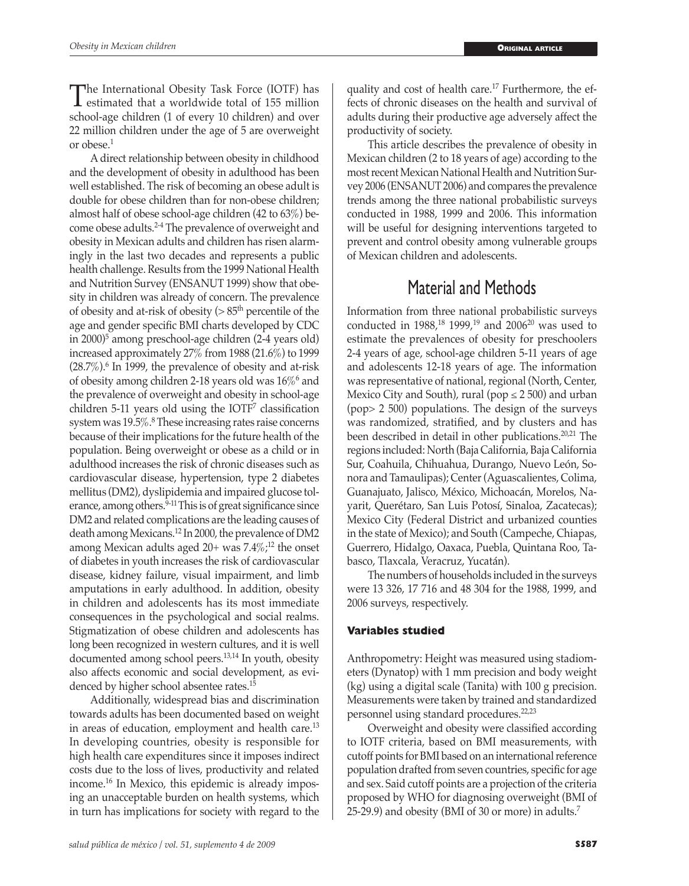The International Obesity Task Force (IOTF) has<br>
estimated that a worldwide total of 155 million<br>
eshoel are shildren (1 of event 10 shildren) and even school-age children (1 of every 10 children) and over 22 million children under the age of 5 are overweight or obese.1

A direct relationship between obesity in childhood and the development of obesity in adulthood has been well established. The risk of becoming an obese adult is double for obese children than for non-obese children; almost half of obese school-age children (42 to 63%) become obese adults.2-4 The prevalence of overweight and obesity in Mexican adults and children has risen alarmingly in the last two decades and represents a public health challenge. Results from the 1999 National Health and Nutrition Survey (ENSANUT 1999) show that obesity in children was already of concern. The prevalence of obesity and at-risk of obesity ( $> 85<sup>th</sup>$  percentile of the age and gender specific BMI charts developed by CDC in 2000)<sup>5</sup> among preschool-age children (2-4 years old) increased approximately 27% from 1988 (21.6%) to 1999  $(28.7\%)$ <sup>6</sup> In 1999, the prevalence of obesity and at-risk of obesity among children 2-18 years old was  $16\%$ <sup>6</sup> and the prevalence of overweight and obesity in school-age  $children 5-11 years old using the IOTF' classification$ system was 19.5%.<sup>8</sup> These increasing rates raise concerns because of their implications for the future health of the population. Being overweight or obese as a child or in adulthood increases the risk of chronic diseases such as cardiovascular disease, hypertension, type 2 diabetes mellitus (DM2), dyslipidemia and impaired glucose tolerance, among others.<sup>9-11</sup> This is of great significance since DM2 and related complications are the leading causes of death among Mexicans.12 In 2000, the prevalence of DM2 among Mexican adults aged  $20+$  was  $7.4\%$ ;<sup>12</sup> the onset of diabetes in youth increases the risk of cardiovascular disease, kidney failure, visual impairment, and limb amputations in early adulthood. In addition, obesity in children and adolescents has its most immediate consequences in the psychological and social realms. Stigmatization of obese children and adolescents has long been recognized in western cultures, and it is well documented among school peers.13,14 In youth, obesity also affects economic and social development, as evidenced by higher school absentee rates.15

Additionally, widespread bias and discrimination towards adults has been documented based on weight in areas of education, employment and health care.<sup>13</sup> In developing countries, obesity is responsible for high health care expenditures since it imposes indirect costs due to the loss of lives, productivity and related income.16 In Mexico, this epidemic is already imposing an unacceptable burden on health systems, which in turn has implications for society with regard to the

quality and cost of health care.17 Furthermore, the effects of chronic diseases on the health and survival of adults during their productive age adversely affect the productivity of society.

This article describes the prevalence of obesity in Mexican children (2 to 18 years of age) according to the most recent Mexican National Health and Nutrition Survey 2006 (ENSANUT 2006) and compares the prevalence trends among the three national probabilistic surveys conducted in 1988, 1999 and 2006. This information will be useful for designing interventions targeted to prevent and control obesity among vulnerable groups of Mexican children and adolescents.

## Material and Methods

Information from three national probabilistic surveys conducted in 1988,<sup>18</sup> 1999,<sup>19</sup> and 2006<sup>20</sup> was used to estimate the prevalences of obesity for preschoolers 2-4 years of age, school-age children 5-11 years of age and adolescents 12-18 years of age. The information was representative of national, regional (North, Center, Mexico City and South), rural (pop  $\leq$  2 500) and urban (pop> 2 500) populations. The design of the surveys was randomized, stratified, and by clusters and has been described in detail in other publications.20,21 The regions included: North (Baja California, Baja California Sur, Coahuila, Chihuahua, Durango, Nuevo León, Sonora and Tamaulipas); Center (Aguascalientes, Colima, Guanajuato, Jalisco, México, Michoacán, Morelos, Nayarit, Querétaro, San Luis Potosí, Sinaloa, Zacatecas); Mexico City (Federal District and urbanized counties in the state of Mexico); and South (Campeche, Chiapas, Guerrero, Hidalgo, Oaxaca, Puebla, Quintana Roo, Tabasco, Tlaxcala, Veracruz, Yucatán).

The numbers of households included in the surveys were 13 326, 17 716 and 48 304 for the 1988, 1999, and 2006 surveys, respectively.

## **Variables studied**

Anthropometry: Height was measured using stadiometers (Dynatop) with 1 mm precision and body weight (kg) using a digital scale (Tanita) with 100 g precision. Measurements were taken by trained and standardized personnel using standard procedures.22,23

Overweight and obesity were classified according to IOTF criteria, based on BMI measurements, with cutoff points for BMI based on an international reference population drafted from seven countries, specific for age and sex. Said cutoff points are a projection of the criteria proposed by WHO for diagnosing overweight (BMI of 25-29.9) and obesity (BMI of 30 or more) in adults.<sup>7</sup>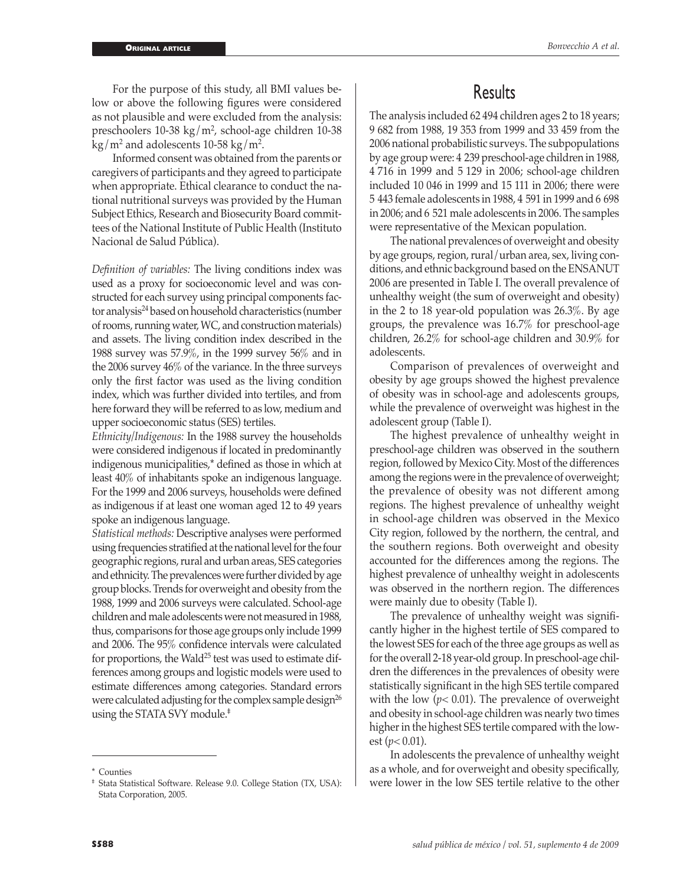For the purpose of this study, all BMI values below or above the following figures were considered as not plausible and were excluded from the analysis: preschoolers 10-38 kg/m<sup>2</sup>, school-age children 10-38  $\text{kg/m}^2$  and adolescents 10-58 kg/m<sup>2</sup>.

Informed consent was obtained from the parents or caregivers of participants and they agreed to participate when appropriate. Ethical clearance to conduct the national nutritional surveys was provided by the Human Subject Ethics, Research and Biosecurity Board committees of the National Institute of Public Health (Instituto Nacional de Salud Pública).

*Definition of variables:* The living conditions index was used as a proxy for socioeconomic level and was constructed for each survey using principal components factor analysis<sup>24</sup> based on household characteristics (number of rooms, running water, WC, and construction materials) and assets. The living condition index described in the 1988 survey was 57.9%, in the 1999 survey 56% and in the 2006 survey 46% of the variance. In the three surveys only the first factor was used as the living condition index, which was further divided into tertiles, and from here forward they will be referred to as low, medium and upper socioeconomic status (SES) tertiles.

*Ethnicity/Indigenous:* In the 1988 survey the households were considered indigenous if located in predominantly indigenous municipalities,\* defined as those in which at least 40% of inhabitants spoke an indigenous language. For the 1999 and 2006 surveys, households were defined as indigenous if at least one woman aged 12 to 49 years spoke an indigenous language.

*Statistical methods:* Descriptive analyses were performed using frequencies stratified at the national level for the four geographic regions, rural and urban areas, SES categories and ethnicity. The prevalences were further divided by age group blocks. Trends for overweight and obesity from the 1988, 1999 and 2006 surveys were calculated. School-age children and male adolescents were not measured in 1988, thus, comparisons for those age groups only include 1999 and 2006. The 95% confidence intervals were calculated for proportions, the Wald<sup>25</sup> test was used to estimate differences among groups and logistic models were used to estimate differences among categories. Standard errors were calculated adjusting for the complex sample design<sup>26</sup> using the STATA SVY module.‡

## **Results**

The analysis included 62 494 children ages 2 to 18 years; 9 682 from 1988, 19 353 from 1999 and 33 459 from the 2006 national probabilistic surveys. The subpopulations by age group were: 4 239 preschool-age children in 1988, 4 716 in 1999 and 5 129 in 2006; school-age children included 10 046 in 1999 and 15 111 in 2006; there were 5 443 female adolescents in 1988, 4 591 in 1999 and 6 698 in 2006; and 6 521 male adolescents in 2006. The samples were representative of the Mexican population.

The national prevalences of overweight and obesity by age groups, region, rural/urban area, sex, living conditions, and ethnic background based on the ENSANUT 2006 are presented in Table I. The overall prevalence of unhealthy weight (the sum of overweight and obesity) in the 2 to 18 year-old population was 26.3%. By age groups, the prevalence was 16.7% for preschool-age children, 26.2% for school-age children and 30.9% for adolescents.

Comparison of prevalences of overweight and obesity by age groups showed the highest prevalence of obesity was in school-age and adolescents groups, while the prevalence of overweight was highest in the adolescent group (Table I).

The highest prevalence of unhealthy weight in preschool-age children was observed in the southern region, followed by Mexico City. Most of the differences among the regions were in the prevalence of overweight; the prevalence of obesity was not different among regions. The highest prevalence of unhealthy weight in school-age children was observed in the Mexico City region, followed by the northern, the central, and the southern regions. Both overweight and obesity accounted for the differences among the regions. The highest prevalence of unhealthy weight in adolescents was observed in the northern region. The differences were mainly due to obesity (Table I).

The prevalence of unhealthy weight was significantly higher in the highest tertile of SES compared to the lowest SES for each of the three age groups as well as for the overall 2-18 year-old group. In preschool-age children the differences in the prevalences of obesity were statistically significant in the high SES tertile compared with the low (*p<* 0.01). The prevalence of overweight and obesity in school-age children was nearly two times higher in the highest SES tertile compared with the lowest  $(p<0.01)$ .

In adolescents the prevalence of unhealthy weight as a whole, and for overweight and obesity specifically, \* Counties<br># Stata Statistical Software. Release 9.0. College Station (TX, USA): <br>\* Were lower in the low SES tertile relative to the other

Stata Corporation, 2005.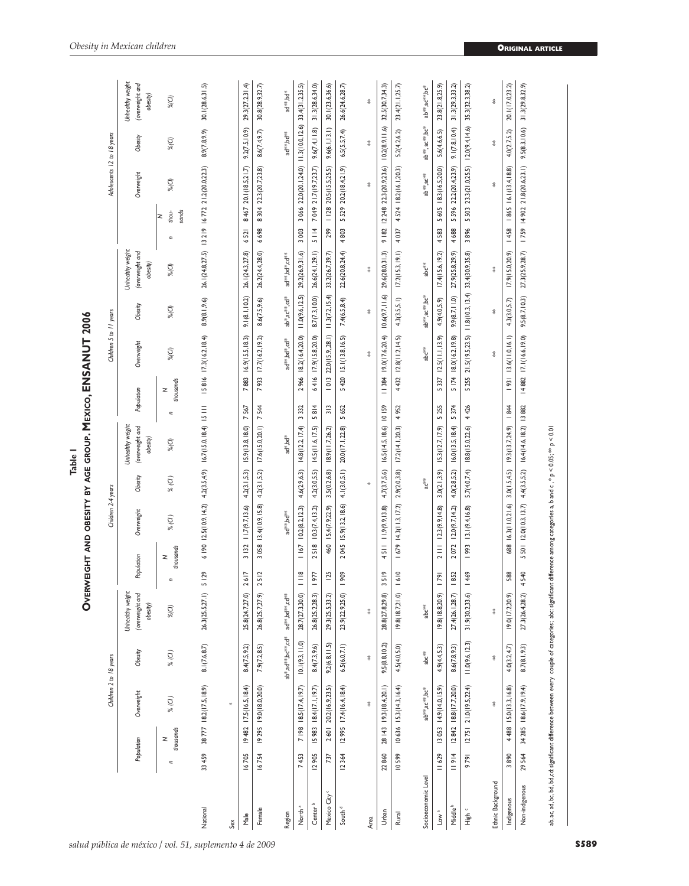|                          |                |                | Children 2 to 18 years     |                   |                                                 |                     | Children 2-4 years                                                                                                                                                   |                 |                                                 |                     | Children 5 to 11 years                   |                                    |                                                 |                                                | Adolescents 12 to 18 years      |                 |                                                 |
|--------------------------|----------------|----------------|----------------------------|-------------------|-------------------------------------------------|---------------------|----------------------------------------------------------------------------------------------------------------------------------------------------------------------|-----------------|-------------------------------------------------|---------------------|------------------------------------------|------------------------------------|-------------------------------------------------|------------------------------------------------|---------------------------------|-----------------|-------------------------------------------------|
|                          | Population     |                | Overweight                 | Obesity           | Unhealthy weight<br>(overweight and<br>obesity) | Population          | Overweight                                                                                                                                                           | Obesity         | Unhealthy weight<br>(overweight and<br>obesity) | Population          | Overweight                               | Obesity                            | Unhealthy weight<br>(overweight and<br>obesity) |                                                | Overweight                      | Obesity         | Unhealthy weight<br>(overweight and<br>obesity) |
|                          | $\overline{a}$ | thousands<br>z | $\%$ (Cl )                 | $\%$ (Cl )        | $%$ $(C)$                                       | thousands<br>z<br>c | % (C)                                                                                                                                                                | % (C)           | $%$ $($ Cl)                                     | thousands<br>z<br>c | $%$ $(C)$                                | $%$ $(C)$                          | $%$ $(C)$                                       | sands<br>thou-<br>$\tilde{z}$<br>Ξ             | $%$ $($ Cl)                     | $%$ $(C)$       | $%$ $(C)$                                       |
| National                 | 33 459         |                | 38777 18.2(17.5,18.9)      | 8.1(7.6, 8.7)     | 26.3 (25.5,27.1)                                | 5129                | $6   90   2.5(10.9, 14.2)$ $4.2(3.5, 4.9)$ $16.7(15.0, 18.4)$ 15 111                                                                                                 |                 |                                                 |                     | 15816 17.3 (16.2, 18.4)                  | 8.9(8.1, 9.6)                      |                                                 | 26.1(24.8,27.5) 13 219 16 772 21.2(20.0,22.3)  |                                 | 8.9(7.8, 9.9)   | 30.1(28.6,31.5)                                 |
| Sex                      |                |                |                            |                   |                                                 |                     |                                                                                                                                                                      |                 |                                                 |                     |                                          |                                    |                                                 |                                                |                                 |                 |                                                 |
| Male                     | 16705          |                | 19 482 17.5(16.5,18.4)     | 8.4(7.5, 9.2)     | 25.8(24.7,27.0)                                 | 2617                | 11.7(9.7, 13.6)<br>3 132                                                                                                                                             |                 | 4.2(3.1,5.3) 15.9(13.8,18.0)                    | 7567                | 7883 16.9(15.5,18.3)                     | 9.1(8.1, 10.2)                     | 26.1(24.3,27.8)                                 | 6521                                           | 8 467 20.1(18.5,21.7)           | 9.2(7.5, 10.9)  | 29.3(27.2,31.4)                                 |
| Female                   | 16754          |                | 19 295 19.0(18.0,20.0)     | 7.9(7.2, 8.5)     | 26.8(25.7,27.9)                                 | 2512                | 3 058 13.4 (10.9, 15.8)                                                                                                                                              |                 | 4.2(3.1,5.2) 17.6(15.0,20.1) 7 544              |                     | 7933 17.7(16.2,19.2)                     | 8.6(7.5, 9.6)                      | 26.2(24.4,28.0)                                 | 6698                                           | 8 304 22.3(20.7,23.8)           | 8.6(7.4, 9.7)   | 30.8(28.9, 32.7)                                |
| Region                   |                |                |                            | ab*,ad**,bc**,cd* | ad**.bd**.cd**                                  |                     | ad**,bd**                                                                                                                                                            |                 | ad*,bd*                                         |                     | ad**.bd*.cd*                             | ab*,ac**,cd*                       | ad <sup>84</sup> ,bd <sup>8</sup> ,cd88         |                                                |                                 | ad**,bd**       | ad <sup>**</sup> .bd*                           |
| North <sup>a</sup>       | 7453           |                | 7   98   8.5(17.4, 19.7)   | 10.1(9.3, 11.0)   | 28.7(27.3,30.0)                                 | $\frac{8}{1}$       | 10.2(8.2, 12.3)<br>167                                                                                                                                               | 4.6(2.9, 6.3)   | 14.8(12.2, 17.4)                                | 3332                | 2 966 18.2(16.4,20.0)                    | 11.0(9.6, 12.5)                    | 29.2(26.9,31.6)                                 | 3066<br>3003                                   | 22.0(20.1,24.0) 11.3(10.0,12.6) |                 | 33.4(31.2,35.5)                                 |
| Center <sup>b</sup>      | 12905          |                | 15 983 18.4(17.1, 19.7)    | 8.4(7.3, 9.6)     | 26.8(25.2,28.3)                                 | 1977                | 10.3(7.4, 13.2)<br>2518                                                                                                                                              |                 | 4.2(3.0,5.5) 14.5(11.6,17.5)                    | 5814                | 6416 17.9(15.8,20.0)                     | 8.7(7.3, 10.0)                     | 26.6(24.1,29.1)                                 | 5114                                           | 7 049 21.7(19.7,23.7)           | 9.6(7.4, 11.8)  | 31.3(28.6,34.0)                                 |
| Mexico City <sup>c</sup> | 737            | 2601           | 20.2(16.9,23.5)            | 9.2(6.8, 11.5)    | 29.3 (25.5, 33.2)                               | <b>125</b>          | 15.4(7.9, 22.9)<br>460                                                                                                                                               | 3.5(0.2, 6.8)   | 18.9(11.7,26.2)                                 | 313                 | $1013$ 22.0(15.9,28.1) $11.3(7.2, 15.4)$ |                                    | 33.2(26.7,39.7)                                 | 299                                            | $1128$ $20.5(15.5, 25.5)$       | 9.6(6.1, 13.1)  | 30.1(23.6, 36.6)                                |
| South $d$                | 12364          |                | $12995$ $17.4(16.4, 18.4)$ | 6.5(6.0, 7.1)     | 23.9(22.9,25.0)                                 | 1909                | 2 045 15.9(13.2,18.6)                                                                                                                                                |                 | 4.1(3.0,5.1) 20.0(17.1,22.8)                    | 5420<br>5652        | 5.1(13.8, 16.5)                          | 7.4(6.5,8.4)                       | 22.6(20.8, 24.4)                                | 5529<br>4803                                   | 20.2(18.4,21.9)                 | 6.5(5.5, 7.4)   | 26.6(24.6,28.7)                                 |
| Area                     |                |                | 菜                          | 菜                 | 菜                                               |                     |                                                                                                                                                                      |                 |                                                 |                     |                                          | 菜                                  | 荽                                               |                                                | 菜                               | 菜               | 菜                                               |
| Urban                    | 22860          |                | 28 143 19.3 (18.4,20.1)    | 9.5(8.8, 10.2)    | 28.8 (27.8,29.8)                                | 3519                | 4 5       9(9.9, 13.8)                                                                                                                                               |                 | 4.7(3.7,5.6) 16.5(14.5,18.6) 10 159             |                     | 384   9.0(17.6,20.4)                     |                                    | $10.6(9.7, 11.6)$ 29.6(28.0,31.3)               | 9   82   248 22.3(20.9,23.6)   0.2(8.9,   1.6) |                                 |                 | 32.5(30.7,34.3)                                 |
| Rural                    | 10599          |                | $10636$ $15.3(14.3,16.4)$  | 4.5(4.0, 5.0)     | 19.8(18.7,21.0)                                 | 1610                | $1679$ $14.3(11.3,17.2)$                                                                                                                                             |                 | 2.9(2.0,3.8) 17.2(14.1,20.3)                    | 4952                | 4 432 12.8 (11.2, 14.5)                  | 4.3(3.5.1)                         | 17.2(15.3, 19.1)                                | 4037                                           | 4 524 18.2(16.1,20.3)           | 5.2(4.2, 6.2)   | 23.4(21.1, 25.7)                                |
| Socioeconomic Level      |                |                | ab**,ac**,bc*              | ैं<br>वै          | abc <sup>##</sup>                               |                     |                                                                                                                                                                      | ac <sup>‰</sup> |                                                 |                     | abc*                                     | ab**,ac**,bc*                      | *。<br>de                                        |                                                | ab**,ac**                       | ab**, ac**; bc* | ab**,ac**.bc*                                   |
| Low <sup>a</sup>         | 11629          |                | 13 053 14.9(14.0,15.9)     | 4.9(4.4, 5.3)     | 19.8(18.8, 20.9)                                | 79                  | 2 111 12.3(9.9, 14.8)                                                                                                                                                |                 | $3.0(2.1,3.9)$ $15.3(12.7,17.9)$ 5 255          |                     | 5 337 12.5 (11.1, 13.9)                  | 4.9(4.0, 5.9)                      | 17.4(15.6,19.2)                                 | 4583                                           | 5 605 18.3(16.5,20.0)           | 5.6(4.6, 6.5)   | 23.8(21.8,25.9)                                 |
| Middle <sup>b</sup>      | 11914          |                | 12 842 18.8(17.7,20.0)     | 8.6(7.8, 9.3)     | 27.4(26.1,28.7                                  | 1852                | 12.0(9.7, 14.2)<br>2072                                                                                                                                              | 4.0(2.8,5.2)    | 16.0(13.5, 18.4)                                | 5 174<br>5 374      | 18.0(16.2, 19.8)                         | 9.9(8.7, 11.0)                     | 27.9(25.8,29.9)                                 | 5596<br>4688                                   | 22.2(20.4,23.9)                 | 9.1(7.8, 10.4)  | 31.3(29.3,33.2)                                 |
| High c                   | 9791           |                | $ 275 $ $21.0(19.5,22.4)$  | 11.0(9.6, 12.3)   | 31.9 (30.2,33.6)                                | 1469                | 13.1(9.4, 16.8)<br>  993                                                                                                                                             | 5.7(4.0,7.4)    | 18.8(15.0, 22.6)                                | 4426                | 5 255 21.5 (19.5,23.5)                   | $11.8(10.3, 13.4)$ 33.4(30.9,35.8) |                                                 | 5 503<br>3896                                  | 23.3(21.0,25.5)                 | 12.0(9.4, 14.6) | 35.3(32.3,38.2)                                 |
| Ethnic Background        |                |                | 菜                          | 菜                 | 炎                                               |                     |                                                                                                                                                                      |                 |                                                 |                     |                                          | 荽                                  |                                                 |                                                | 菜                               | 菜               | 糞                                               |
| Indigenous               | 3890           |                | 4 488 15.0(13.3,16.8)      | 4.0(3.2, 4.7)     | 19.0(17.2,20.9)                                 | 588                 | 688 16.3(11.0,21.6) 3.0(1.5,4.5) 19.3(13.7,24.9) 1844                                                                                                                |                 |                                                 |                     | 931   13.6(11.0,16.1)                    | 4.3(3.0, 5.7)                      |                                                 | 17.9(15.0,20.9) 1458 1865 16.1(13.4,18.8)      |                                 | 4.0(2.7, 5.2)   | 20.1(17.0,23.2)                                 |
| Non-indigenous           | 29564          |                | 34 285 18.6(17.9,19.4)     | 8.7(8.1, 9.3)     | 27.3 (26.4,28.2)                                | 4540                | 5 501 12.0(10.3,13.7) 4,4(3.5,5.2) 16.4(14.6,18.2) 13 882                                                                                                            |                 |                                                 |                     | 14 882 17.1(16.6,19.0)                   |                                    | 9.5(8.7, 10.3) 27.3(25.9, 28.7)                 | $1759$ $14902$ $21.8(20.623.1)$                |                                 | 9.5(8.3, 10.6)  | 31.3(29.8, 32.9)                                |
|                          |                |                |                            |                   |                                                 |                     | ab,ac, ad, bc, bd, bd,cd: significant difference between every couple of categories; abc significant difference among categories a, b and c, * p < 0.01, ** p < 0.01 |                 |                                                 |                     |                                          |                                    |                                                 |                                                |                                 |                 |                                                 |

AGE GROUP, MEXICO, ENSANUT 2006 **Overweight and obesity by age group. Mexico, ENSANUT 2006Table 1 OVERWEIGHT AND OBESITY BY**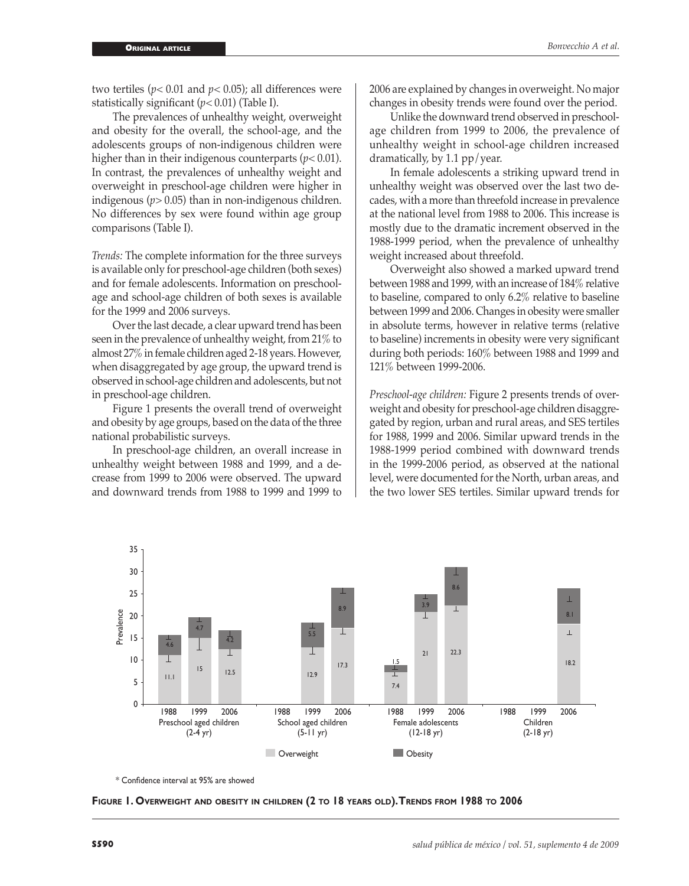two tertiles ( $p$ < 0.01 and  $p$ < 0.05); all differences were statistically significant (*p<* 0.01) (Table I).

The prevalences of unhealthy weight, overweight and obesity for the overall, the school-age, and the adolescents groups of non-indigenous children were higher than in their indigenous counterparts (*p<* 0.01). In contrast, the prevalences of unhealthy weight and overweight in preschool-age children were higher in indigenous (*p>* 0.05) than in non-indigenous children. No differences by sex were found within age group comparisons (Table I).

*Trends:* The complete information for the three surveys is available only for preschool-age children (both sexes) and for female adolescents. Information on preschoolage and school-age children of both sexes is available for the 1999 and 2006 surveys.

Over the last decade, a clear upward trend has been seen in the prevalence of unhealthy weight, from 21% to almost 27% in female children aged 2-18 years. However, when disaggregated by age group, the upward trend is observed in school-age children and adolescents, but not in preschool-age children.

Figure 1 presents the overall trend of overweight and obesity by age groups, based on the data of the three national probabilistic surveys.

In preschool-age children, an overall increase in unhealthy weight between 1988 and 1999, and a decrease from 1999 to 2006 were observed. The upward and downward trends from 1988 to 1999 and 1999 to

2006 are explained by changes in overweight. No major changes in obesity trends were found over the period.

Unlike the downward trend observed in preschoolage children from 1999 to 2006, the prevalence of unhealthy weight in school-age children increased dramatically, by 1.1 pp/year.

In female adolescents a striking upward trend in unhealthy weight was observed over the last two decades, with a more than threefold increase in prevalence at the national level from 1988 to 2006. This increase is mostly due to the dramatic increment observed in the 1988-1999 period, when the prevalence of unhealthy weight increased about threefold.

Overweight also showed a marked upward trend between 1988 and 1999, with an increase of 184% relative to baseline, compared to only 6.2% relative to baseline between 1999 and 2006. Changes in obesity were smaller in absolute terms, however in relative terms (relative to baseline) increments in obesity were very significant during both periods: 160% between 1988 and 1999 and 121% between 1999-2006.

*Preschool-age children:* Figure 2 presents trends of overweight and obesity for preschool-age children disaggregated by region, urban and rural areas, and SES tertiles for 1988, 1999 and 2006. Similar upward trends in the 1988-1999 period combined with downward trends in the 1999-2006 period, as observed at the national level, were documented for the North, urban areas, and the two lower SES tertiles. Similar upward trends for



\* Confidence interval at 95% are showed

**Figure 1. Overweight and obesity in children (2 to 18 years old). Trends from 1988 to 2006**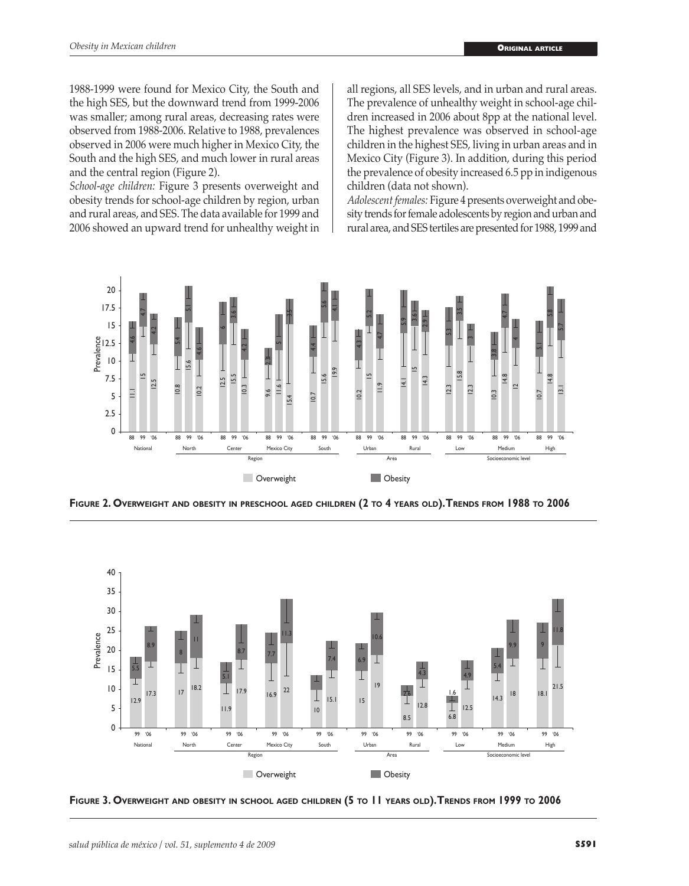1988-1999 were found for Mexico City, the South and the high SES, but the downward trend from 1999-2006 was smaller; among rural areas, decreasing rates were observed from 1988-2006. Relative to 1988, prevalences observed in 2006 were much higher in Mexico City, the South and the high SES, and much lower in rural areas and the central region (Figure 2).

*School-age children:* Figure 3 presents overweight and obesity trends for school-age children by region, urban and rural areas, and SES. The data available for 1999 and 2006 showed an upward trend for unhealthy weight in all regions, all SES levels, and in urban and rural areas. The prevalence of unhealthy weight in school-age children increased in 2006 about 8pp at the national level. The highest prevalence was observed in school-age children in the highest SES, living in urban areas and in Mexico City (Figure 3). In addition, during this period the prevalence of obesity increased 6.5 pp in indigenous children (data not shown).

*Adolescent females:* Figure 4 presents overweight and obesity trends for female adolescents by region and urban and rural area, and SES tertiles are presented for 1988, 1999 and



**Figure 2. Overweight and obesity in preschool aged children (2 to 4 years old). Trends from 1988 to 2006**



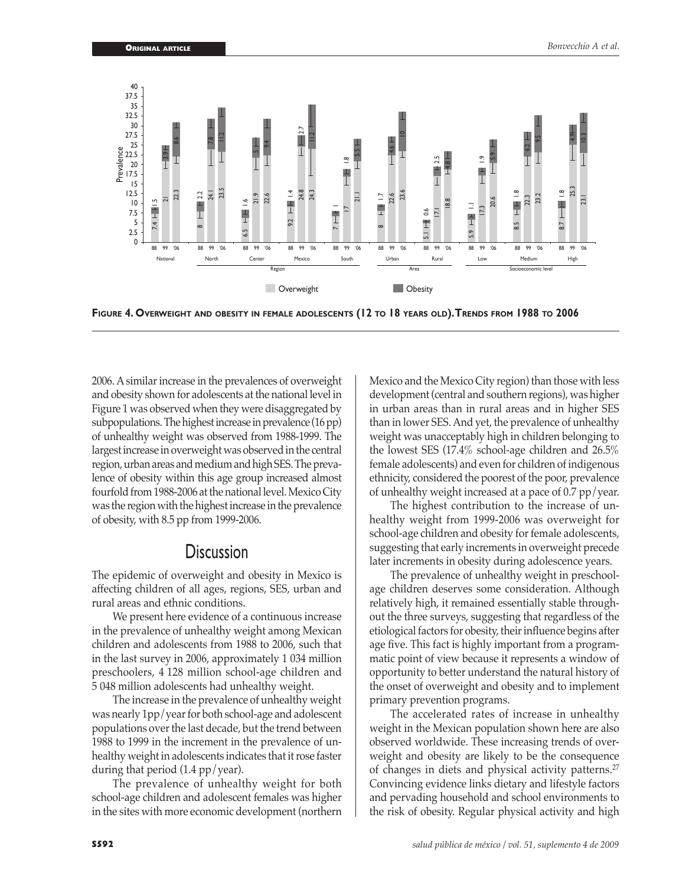

**Figure 4. Overweight and obesity in female adolescents (12 to 18 years old). Trends from 1988 to 2006**

2006. A similar increase in the prevalences of overweight and obesity shown for adolescents at the national level in Figure 1 was observed when they were disaggregated by subpopulations. The highest increase in prevalence (16 pp) of unhealthy weight was observed from 1988-1999. The largest increase in overweight was observed in the central region, urban areas and medium and high SES. The prevalence of obesity within this age group increased almost fourfold from 1988-2006 at the national level. Mexico City was the region with the highest increase in the prevalence of obesity, with 8.5 pp from 1999-2006.

## **Discussion**

The epidemic of overweight and obesity in Mexico is affecting children of all ages, regions, SES, urban and rural areas and ethnic conditions.

We present here evidence of a continuous increase in the prevalence of unhealthy weight among Mexican children and adolescents from 1988 to 2006, such that in the last survey in 2006, approximately 1 034 million preschoolers, 4 128 million school-age children and 5 048 million adolescents had unhealthy weight.

The increase in the prevalence of unhealthy weight was nearly 1pp/year for both school-age and adolescent populations over the last decade, but the trend between 1988 to 1999 in the increment in the prevalence of unhealthy weight in adolescents indicates that it rose faster during that period (1.4 pp/year).

The prevalence of unhealthy weight for both school-age children and adolescent females was higher in the sites with more economic development (northern

Mexico and the Mexico City region) than those with less development (central and southern regions), was higher in urban areas than in rural areas and in higher SES than in lower SES. And yet, the prevalence of unhealthy weight was unacceptably high in children belonging to the lowest SES (17.4% school-age children and 26.5% female adolescents) and even for children of indigenous ethnicity, considered the poorest of the poor, prevalence of unhealthy weight increased at a pace of 0.7 pp/year.

The highest contribution to the increase of unhealthy weight from 1999-2006 was overweight for school-age children and obesity for female adolescents, suggesting that early increments in overweight precede later increments in obesity during adolescence years.

The prevalence of unhealthy weight in preschoolage children deserves some consideration. Although relatively high, it remained essentially stable throughout the three surveys, suggesting that regardless of the etiological factors for obesity, their influence begins after age five. This fact is highly important from a programmatic point of view because it represents a window of opportunity to better understand the natural history of the onset of overweight and obesity and to implement primary prevention programs.

The accelerated rates of increase in unhealthy weight in the Mexican population shown here are also observed worldwide. These increasing trends of overweight and obesity are likely to be the consequence of changes in diets and physical activity patterns.<sup>27</sup> Convincing evidence links dietary and lifestyle factors and pervading household and school environments to the risk of obesity. Regular physical activity and high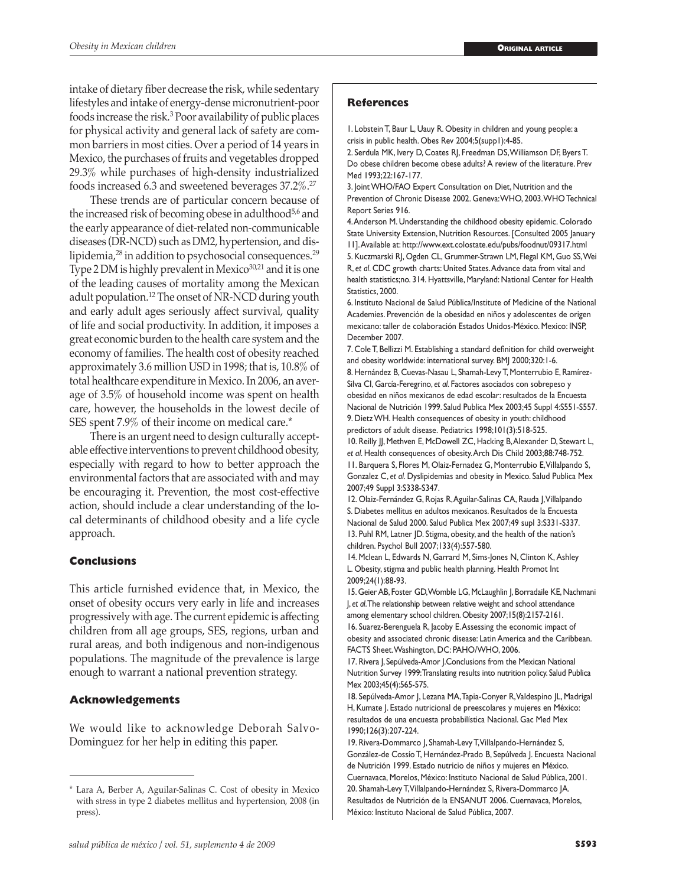intake of dietary fiber decrease the risk, while sedentary lifestyles and intake of energy-dense micronutrient-poor foods increase the risk.3 Poor availability of public places for physical activity and general lack of safety are common barriers in most cities. Over a period of 14 years in Mexico, the purchases of fruits and vegetables dropped 29.3% while purchases of high-density industrialized foods increased 6.3 and sweetened beverages 37.2%.27

These trends are of particular concern because of the increased risk of becoming obese in adulthood<sup>5,6</sup> and the early appearance of diet-related non-communicable diseases (DR-NCD) such as DM2, hypertension, and dislipidemia, $^{28}$  in addition to psychosocial consequences. $^{29}$ Type 2 DM is highly prevalent in Mexico<sup>30,21</sup> and it is one of the leading causes of mortality among the Mexican adult population.12 The onset of NR-NCD during youth and early adult ages seriously affect survival, quality of life and social productivity. In addition, it imposes a great economic burden to the health care system and the economy of families. The health cost of obesity reached approximately 3.6 million USD in 1998; that is, 10.8% of total healthcare expenditure in Mexico. In 2006, an average of 3.5% of household income was spent on health care, however, the households in the lowest decile of SES spent 7.9% of their income on medical care.\*

There is an urgent need to design culturally acceptable effective interventions to prevent childhood obesity, especially with regard to how to better approach the environmental factors that are associated with and may be encouraging it. Prevention, the most cost-effective action, should include a clear understanding of the local determinants of childhood obesity and a life cycle approach.

## **Conclusions**

This article furnished evidence that, in Mexico, the onset of obesity occurs very early in life and increases progressively with age. The current epidemic is affecting children from all age groups, SES, regions, urban and rural areas, and both indigenous and non-indigenous populations. The magnitude of the prevalence is large enough to warrant a national prevention strategy.

## **Acknowledgements**

We would like to acknowledge Deborah Salvo-Dominguez for her help in editing this paper.

## **References**

1. Lobstein T, Baur L, Uauy R. Obesity in children and young people: a crisis in public health. Obes Rev 2004;5(supp1):4-85.

2. Serdula MK, Ivery D, Coates RJ, Freedman DS, Williamson DF, Byers T. Do obese children become obese adults? A review of the literature. Prev Med 1993;22:167-177.

3. Joint WHO/FAO Expert Consultation on Diet, Nutrition and the Prevention of Chronic Disease 2002. Geneva: WHO, 2003. WHO Technical Report Series 916.

4. Anderson M. Understanding the childhood obesity epidemic. Colorado State University Extension, Nutrition Resources. [Consulted 2005 January 11]. Available at: http://www.ext.colostate.edu/pubs/foodnut/09317.html 5. Kuczmarski RJ, Ogden CL, Grummer-Strawn LM, Flegal KM, Guo SS, Wei R, *et al*. CDC growth charts: United States. Advance data from vital and health statistics;no. 314. Hyattsville, Maryland: National Center for Health Statistics, 2000.

6. Instituto Nacional de Salud Pública/Institute of Medicine of the National Academies. Prevención de la obesidad en niños y adolescentes de origen mexicano: taller de colaboración Estados Unidos-México. Mexico: INSP, December 2007.

7. Cole T, Bellizzi M. Establishing a standard definition for child overweight and obesity worldwide: international survey. BMJ 2000;320:1-6.

8. Hernández B, Cuevas-Nasau L, Shamah-Levy T, Monterrubio E, Ramírez-Silva CI, García-Feregrino, *et al*. Factores asociados con sobrepeso y obesidad en niños mexicanos de edad escolar: resultados de la Encuesta Nacional de Nutrición 1999. Salud Publica Mex 2003;45 Suppl 4:S551-S557. 9. Dietz WH. Health consequences of obesity in youth: childhood predictors of adult disease. Pediatrics 1998;101(3):518-525.

10. Reilly JJ, Methven E, McDowell ZC, Hacking B, Alexander D, Stewart L, *et al*. Health consequences of obesity. Arch Dis Child 2003;88:748-752. 11. Barquera S, Flores M, Olaiz-Fernadez G, Monterrubio E, Villalpando S, Gonzalez C, *et al*. Dyslipidemias and obesity in Mexico. Salud Publica Mex 2007;49 Suppl 3:S338-S347.

12. Olaiz-Fernández G, Rojas R, Aguilar-Salinas CA, Rauda J, Villalpando S. Diabetes mellitus en adultos mexicanos. Resultados de la Encuesta Nacional de Salud 2000. Salud Publica Mex 2007;49 supl 3:S331-S337. 13. Puhl RM, Latner JD. Stigma, obesity, and the health of the nation's children. Psychol Bull 2007;133(4):557-580.

14. Mclean L, Edwards N, Garrard M, Sims-Jones N, Clinton K, Ashley L. Obesity, stigma and public health planning. Health Promot Int 2009;24(1):88-93.

15. Geier AB, Foster GD, Womble LG, McLaughlin J, Borradaile KE, Nachmani J, *et al*. The relationship between relative weight and school attendance among elementary school children. Obesity 2007;15(8):2157-2161. 16. Suarez-Berenguela R, Jacoby E. Assessing the economic impact of obesity and associated chronic disease: Latin America and the Caribbean. FACTS Sheet. Washington, DC: PAHO/WHO, 2006.

17. Rivera J, Sepúlveda-Amor J.Conclusions from the Mexican National Nutrition Survey 1999: Translating results into nutrition policy. Salud Publica Mex 2003;45(4):565-575.

18. Sepúlveda-Amor J, Lezana MA, Tapia-Conyer R, Valdespino JL, Madrigal H, Kumate J. Estado nutricional de preescolares y mujeres en México: resultados de una encuesta probabilística Nacional. Gac Med Mex 1990;126(3):207-224.

19. Rivera-Dommarco J, Shamah-Levy T, Villalpando-Hernández S, González-de Cossío T, Hernández-Prado B, Sepúlveda J. Encuesta Nacional de Nutrición 1999. Estado nutricio de niños y mujeres en México. Cuernavaca, Morelos, México: Instituto Nacional de Salud Pública, 2001. 20. Shamah-Levy T, Villalpando-Hernández S, Rivera-Dommarco JA. Resultados de Nutrición de la ENSANUT 2006. Cuernavaca, Morelos, México: Instituto Nacional de Salud Pública, 2007.

Lara A, Berber A, Aguilar-Salinas C. Cost of obesity in Mexico with stress in type 2 diabetes mellitus and hypertension, 2008 (in press).